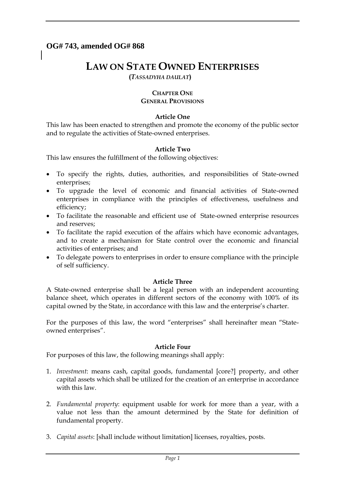# **OG# 743, amended OG# 868**

# **LAW ON STATE OWNED ENTERPRISES**

**(***TASSADYHA DAULAT***)**

## **CHAPTER ONE GENERAL PROVISIONS**

## **Article One**

This law has been enacted to strengthen and promote the economy of the public sector and to regulate the activities of State-owned enterprises.

## **Article Two**

This law ensures the fulfillment of the following objectives:

- To specify the rights, duties, authorities, and responsibilities of State-owned enterprises;
- To upgrade the level of economic and financial activities of State-owned enterprises in compliance with the principles of effectiveness, usefulness and efficiency;
- To facilitate the reasonable and efficient use of State-owned enterprise resources and reserves;
- To facilitate the rapid execution of the affairs which have economic advantages, and to create a mechanism for State control over the economic and financial activities of enterprises; and
- To delegate powers to enterprises in order to ensure compliance with the principle of self sufficiency.

## **Article Three**

A State-owned enterprise shall be a legal person with an independent accounting balance sheet, which operates in different sectors of the economy with 100% of its capital owned by the State, in accordance with this law and the enterprise's charter.

For the purposes of this law, the word "enterprises" shall hereinafter mean "Stateowned enterprises".

## **Article Four**

For purposes of this law, the following meanings shall apply:

- 1. *Investment*: means cash, capital goods, fundamental [core?] property, and other capital assets which shall be utilized for the creation of an enterprise in accordance with this law.
- 2. *Fundamental property*: equipment usable for work for more than a year, with a value not less than the amount determined by the State for definition of fundamental property.
- 3. *Capital assets*: [shall include without limitation] licenses, royalties, posts.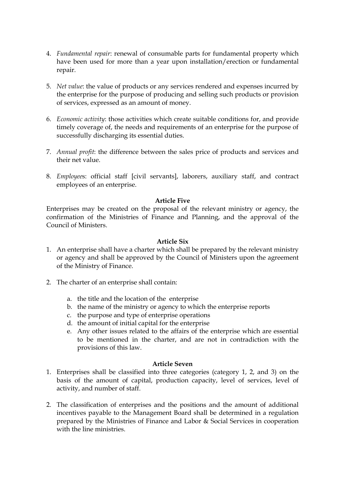- 4. *Fundamental repair*: renewal of consumable parts for fundamental property which have been used for more than a year upon installation/erection or fundamental repair.
- 5. *Net value*: the value of products or any services rendered and expenses incurred by the enterprise for the purpose of producing and selling such products or provision of services, expressed as an amount of money.
- 6. *Economic activity*: those activities which create suitable conditions for, and provide timely coverage of, the needs and requirements of an enterprise for the purpose of successfully discharging its essential duties.
- 7. *Annual profit*: the difference between the sales price of products and services and their net value.
- 8. *Employee*s: official staff [civil servants], laborers, auxiliary staff, and contract employees of an enterprise.

## **Article Five**

Enterprises may be created on the proposal of the relevant ministry or agency, the confirmation of the Ministries of Finance and Planning, and the approval of the Council of Ministers.

#### **Article Six**

- 1. An enterprise shall have a charter which shall be prepared by the relevant ministry or agency and shall be approved by the Council of Ministers upon the agreement of the Ministry of Finance.
- 2. The charter of an enterprise shall contain:
	- a. the title and the location of the enterprise
	- b. the name of the ministry or agency to which the enterprise reports
	- c. the purpose and type of enterprise operations
	- d. the amount of initial capital for the enterprise
	- e. Any other issues related to the affairs of the enterprise which are essential to be mentioned in the charter, and are not in contradiction with the provisions of this law.

#### **Article Seven**

- 1. Enterprises shall be classified into three categories (category 1, 2, and 3) on the basis of the amount of capital, production capacity, level of services, level of activity, and number of staff.
- 2. The classification of enterprises and the positions and the amount of additional incentives payable to the Management Board shall be determined in a regulation prepared by the Ministries of Finance and Labor & Social Services in cooperation with the line ministries.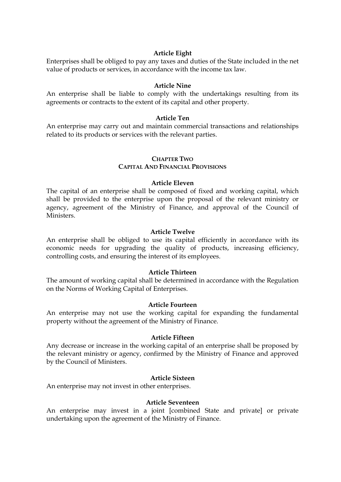#### **Article Eight**

Enterprises shall be obliged to pay any taxes and duties of the State included in the net value of products or services, in accordance with the income tax law.

#### **Article Nine**

An enterprise shall be liable to comply with the undertakings resulting from its agreements or contracts to the extent of its capital and other property.

#### **Article Ten**

An enterprise may carry out and maintain commercial transactions and relationships related to its products or services with the relevant parties.

#### **CHAPTER TWO**

## **CAPITAL AND FINANCIAL PROVISIONS**

#### **Article Eleven**

The capital of an enterprise shall be composed of fixed and working capital, which shall be provided to the enterprise upon the proposal of the relevant ministry or agency, agreement of the Ministry of Finance, and approval of the Council of Ministers.

#### **Article Twelve**

An enterprise shall be obliged to use its capital efficiently in accordance with its economic needs for upgrading the quality of products, increasing efficiency, controlling costs, and ensuring the interest of its employees.

## **Article Thirteen**

The amount of working capital shall be determined in accordance with the Regulation on the Norms of Working Capital of Enterprises.

#### **Article Fourteen**

An enterprise may not use the working capital for expanding the fundamental property without the agreement of the Ministry of Finance.

#### **Article Fifteen**

Any decrease or increase in the working capital of an enterprise shall be proposed by the relevant ministry or agency, confirmed by the Ministry of Finance and approved by the Council of Ministers.

#### **Article Sixteen**

An enterprise may not invest in other enterprises.

#### **Article Seventeen**

An enterprise may invest in a joint [combined State and private] or private undertaking upon the agreement of the Ministry of Finance.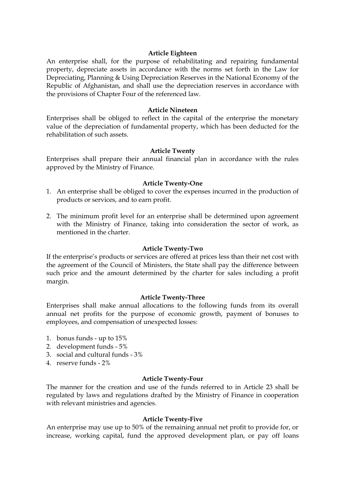#### **Article Eighteen**

An enterprise shall, for the purpose of rehabilitating and repairing fundamental property, depreciate assets in accordance with the norms set forth in the Law for Depreciating, Planning & Using Depreciation Reserves in the National Economy of the Republic of Afghanistan, and shall use the depreciation reserves in accordance with the provisions of Chapter Four of the referenced law.

#### **Article Nineteen**

Enterprises shall be obliged to reflect in the capital of the enterprise the monetary value of the depreciation of fundamental property, which has been deducted for the rehabilitation of such assets.

#### **Article Twenty**

Enterprises shall prepare their annual financial plan in accordance with the rules approved by the Ministry of Finance.

#### **Article Twenty-One**

- 1. An enterprise shall be obliged to cover the expenses incurred in the production of products or services, and to earn profit.
- 2. The minimum profit level for an enterprise shall be determined upon agreement with the Ministry of Finance, taking into consideration the sector of work, as mentioned in the charter.

#### **Article Twenty-Two**

If the enterprise's products or services are offered at prices less than their net cost with the agreement of the Council of Ministers, the State shall pay the difference between such price and the amount determined by the charter for sales including a profit margin.

#### **Article Twenty-Three**

Enterprises shall make annual allocations to the following funds from its overall annual net profits for the purpose of economic growth, payment of bonuses to employees, and compensation of unexpected losses:

- 1. bonus funds up to 15%
- 2. development funds 5%
- 3. social and cultural funds 3%
- 4. reserve funds 2%

#### **Article Twenty-Four**

The manner for the creation and use of the funds referred to in Article 23 shall be regulated by laws and regulations drafted by the Ministry of Finance in cooperation with relevant ministries and agencies.

#### **Article Twenty-Five**

An enterprise may use up to 50% of the remaining annual net profit to provide for, or increase, working capital, fund the approved development plan, or pay off loans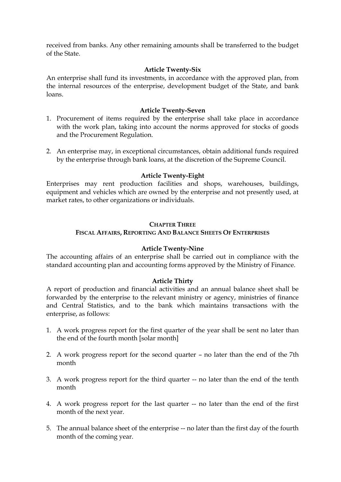received from banks. Any other remaining amounts shall be transferred to the budget of the State.

#### **Article Twenty-Six**

An enterprise shall fund its investments, in accordance with the approved plan, from the internal resources of the enterprise, development budget of the State, and bank loans.

#### **Article Twenty-Seven**

- 1. Procurement of items required by the enterprise shall take place in accordance with the work plan, taking into account the norms approved for stocks of goods and the Procurement Regulation.
- 2. An enterprise may, in exceptional circumstances, obtain additional funds required by the enterprise through bank loans, at the discretion of the Supreme Council.

#### **Article Twenty-Eight**

Enterprises may rent production facilities and shops, warehouses, buildings, equipment and vehicles which are owned by the enterprise and not presently used, at market rates, to other organizations or individuals.

#### **CHAPTER THREE**

#### **FISCAL AFFAIRS, REPORTING AND BALANCE SHEETS OF ENTERPRISES**

#### **Article Twenty-Nine**

The accounting affairs of an enterprise shall be carried out in compliance with the standard accounting plan and accounting forms approved by the Ministry of Finance.

#### **Article Thirty**

A report of production and financial activities and an annual balance sheet shall be forwarded by the enterprise to the relevant ministry or agency, ministries of finance and Central Statistics, and to the bank which maintains transactions with the enterprise, as follows:

- 1. A work progress report for the first quarter of the year shall be sent no later than the end of the fourth month [solar month]
- 2. A work progress report for the second quarter no later than the end of the 7th month
- 3. A work progress report for the third quarter -- no later than the end of the tenth month
- 4. A work progress report for the last quarter -- no later than the end of the first month of the next year.
- 5. The annual balance sheet of the enterprise -- no later than the first day of the fourth month of the coming year.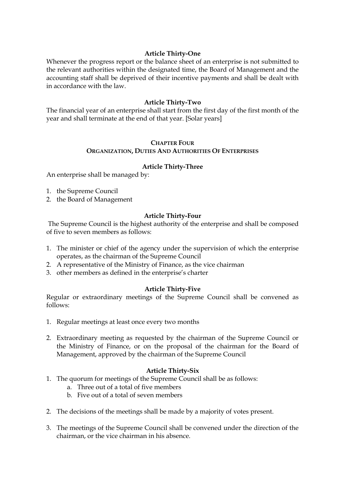## **Article Thirty-One**

Whenever the progress report or the balance sheet of an enterprise is not submitted to the relevant authorities within the designated time, the Board of Management and the accounting staff shall be deprived of their incentive payments and shall be dealt with in accordance with the law.

#### **Article Thirty-Two**

The financial year of an enterprise shall start from the first day of the first month of the year and shall terminate at the end of that year. [Solar years]

## **CHAPTER FOUR ORGANIZATION, DUTIES AND AUTHORITIES OF ENTERPRISES**

#### **Article Thirty-Three**

An enterprise shall be managed by:

- 1. the Supreme Council
- 2. the Board of Management

#### **Article Thirty-Four**

The Supreme Council is the highest authority of the enterprise and shall be composed of five to seven members as follows:

- 1. The minister or chief of the agency under the supervision of which the enterprise operates, as the chairman of the Supreme Council
- 2. A representative of the Ministry of Finance, as the vice chairman
- 3. other members as defined in the enterprise's charter

#### **Article Thirty-Five**

Regular or extraordinary meetings of the Supreme Council shall be convened as follows:

- 1. Regular meetings at least once every two months
- 2. Extraordinary meeting as requested by the chairman of the Supreme Council or the Ministry of Finance, or on the proposal of the chairman for the Board of Management, approved by the chairman of the Supreme Council

#### **Article Thirty-Six**

- 1. The quorum for meetings of the Supreme Council shall be as follows:
	- a. Three out of a total of five members
	- b. Five out of a total of seven members
- 2. The decisions of the meetings shall be made by a majority of votes present.
- 3. The meetings of the Supreme Council shall be convened under the direction of the chairman, or the vice chairman in his absence.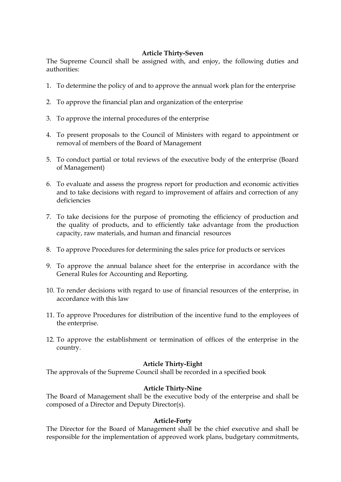## **Article Thirty-Seven**

The Supreme Council shall be assigned with, and enjoy, the following duties and authorities:

- 1. To determine the policy of and to approve the annual work plan for the enterprise
- 2. To approve the financial plan and organization of the enterprise
- 3. To approve the internal procedures of the enterprise
- 4. To present proposals to the Council of Ministers with regard to appointment or removal of members of the Board of Management
- 5. To conduct partial or total reviews of the executive body of the enterprise (Board of Management)
- 6. To evaluate and assess the progress report for production and economic activities and to take decisions with regard to improvement of affairs and correction of any deficiencies
- 7. To take decisions for the purpose of promoting the efficiency of production and the quality of products, and to efficiently take advantage from the production capacity, raw materials, and human and financial resources
- 8. To approve Procedures for determining the sales price for products or services
- 9. To approve the annual balance sheet for the enterprise in accordance with the General Rules for Accounting and Reporting.
- 10. To render decisions with regard to use of financial resources of the enterprise, in accordance with this law
- 11. To approve Procedures for distribution of the incentive fund to the employees of the enterprise.
- 12. To approve the establishment or termination of offices of the enterprise in the country.

#### **Article Thirty-Eight**

The approvals of the Supreme Council shall be recorded in a specified book

#### **Article Thirty-Nine**

The Board of Management shall be the executive body of the enterprise and shall be composed of a Director and Deputy Director(s).

#### **Article-Forty**

The Director for the Board of Management shall be the chief executive and shall be responsible for the implementation of approved work plans, budgetary commitments,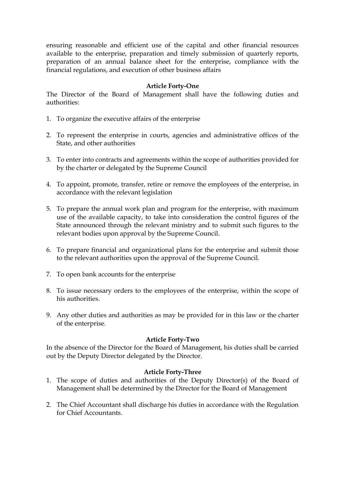ensuring reasonable and efficient use of the capital and other financial resources available to the enterprise, preparation and timely submission of quarterly reports, preparation of an annual balance sheet for the enterprise, compliance with the financial regulations, and execution of other business affairs

#### **Article Forty-One**

The Director of the Board of Management shall have the following duties and authorities:

- 1. To organize the executive affairs of the enterprise
- 2. To represent the enterprise in courts, agencies and administrative offices of the State, and other authorities
- 3. To enter into contracts and agreements within the scope of authorities provided for by the charter or delegated by the Supreme Council
- 4. To appoint, promote, transfer, retire or remove the employees of the enterprise, in accordance with the relevant legislation
- 5. To prepare the annual work plan and program for the enterprise, with maximum use of the available capacity, to take into consideration the control figures of the State announced through the relevant ministry and to submit such figures to the relevant bodies upon approval by the Supreme Council.
- 6. To prepare financial and organizational plans for the enterprise and submit those to the relevant authorities upon the approval of the Supreme Council.
- 7. To open bank accounts for the enterprise
- 8. To issue necessary orders to the employees of the enterprise, within the scope of his authorities.
- 9. Any other duties and authorities as may be provided for in this law or the charter of the enterprise.

#### **Article Forty-Two**

In the absence of the Director for the Board of Management, his duties shall be carried out by the Deputy Director delegated by the Director.

#### **Article Forty-Three**

- 1. The scope of duties and authorities of the Deputy Director(s) of the Board of Management shall be determined by the Director for the Board of Management
- 2. The Chief Accountant shall discharge his duties in accordance with the Regulation for Chief Accountants.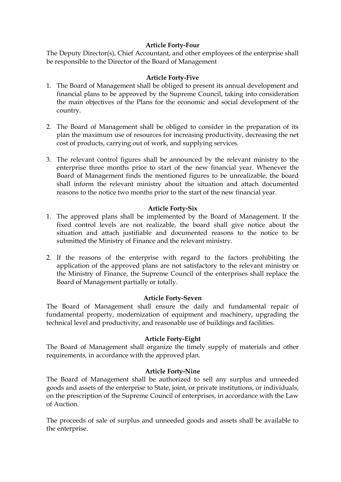## **Article Forty-Four**

The Deputy Director(s), Chief Accountant, and other employees of the enterprise shall be responsible to the Director of the Board of Management

## **Article Forty-Five**

- 1. The Board of Management shall be obliged to present its annual development and financial plans to be approved by the Supreme Council, taking into consideration the main objectives of the Plans for the economic and social development of the country.
- 2. The Board of Management shall be obliged to consider in the preparation of its plan the maximum use of resources for increasing productivity, decreasing the net cost of products, carrying out of work, and supplying services.
- 3. The relevant control figures shall be announced by the relevant ministry to the enterprise three months prior to start of the new financial year. Whenever the Board of Management finds the mentioned figures to be unrealizable, the board shall inform the relevant ministry about the situation and attach documented reasons to the notice two months prior to the start of the new financial year.

## **Article Forty-Six**

- 1. The approved plans shall be implemented by the Board of Management. If the fixed control levels are not realizable, the board shall give notice about the situation and attach justifiable and documented reasons to the notice to be submitted the Ministry of Finance and the relevant ministry.
- 2. If the reasons of the enterprise with regard to the factors prohibiting the application of the approved plans are not satisfactory to the relevant ministry or the Ministry of Finance, the Supreme Council of the enterprises shall replace the Board of Management partially or totally.

#### **Article Forty-Seven**

The Board of Management shall ensure the daily and fundamental repair of fundamental property, modernization of equipment and machinery, upgrading the technical level and productivity, and reasonable use of buildings and facilities.

#### **Article Forty-Eight**

The Board of Management shall organize the timely supply of materials and other requirements, in accordance with the approved plan.

#### **Article Forty-Nine**

The Board of Management shall be authorized to sell any surplus and unneeded goods and assets of the enterprise to State, joint, or private institutions, or individuals, on the prescription of the Supreme Council of enterprises, in accordance with the Law of Auction.

The proceeds of sale of surplus and unneeded goods and assets shall be available to the enterprise.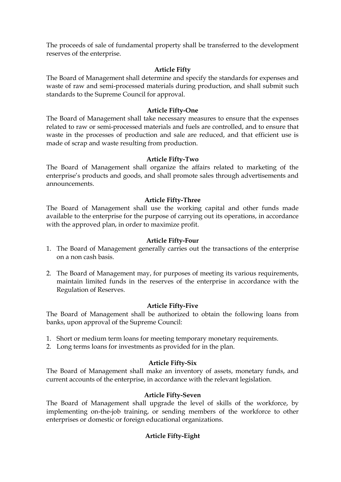The proceeds of sale of fundamental property shall be transferred to the development reserves of the enterprise.

## **Article Fifty**

The Board of Management shall determine and specify the standards for expenses and waste of raw and semi-processed materials during production, and shall submit such standards to the Supreme Council for approval.

#### **Article Fifty-One**

The Board of Management shall take necessary measures to ensure that the expenses related to raw or semi-processed materials and fuels are controlled, and to ensure that waste in the processes of production and sale are reduced, and that efficient use is made of scrap and waste resulting from production.

#### **Article Fifty-Two**

The Board of Management shall organize the affairs related to marketing of the enterprise's products and goods, and shall promote sales through advertisements and announcements.

## **Article Fifty-Three**

The Board of Management shall use the working capital and other funds made available to the enterprise for the purpose of carrying out its operations, in accordance with the approved plan, in order to maximize profit.

#### **Article Fifty-Four**

- 1. The Board of Management generally carries out the transactions of the enterprise on a non cash basis.
- 2. The Board of Management may, for purposes of meeting its various requirements, maintain limited funds in the reserves of the enterprise in accordance with the Regulation of Reserves.

#### **Article Fifty-Five**

The Board of Management shall be authorized to obtain the following loans from banks, upon approval of the Supreme Council:

- 1. Short or medium term loans for meeting temporary monetary requirements.
- 2. Long terms loans for investments as provided for in the plan.

## **Article Fifty-Six**

The Board of Management shall make an inventory of assets, monetary funds, and current accounts of the enterprise, in accordance with the relevant legislation.

#### **Article Fifty-Seven**

The Board of Management shall upgrade the level of skills of the workforce, by implementing on-the-job training, or sending members of the workforce to other enterprises or domestic or foreign educational organizations.

## **Article Fifty-Eight**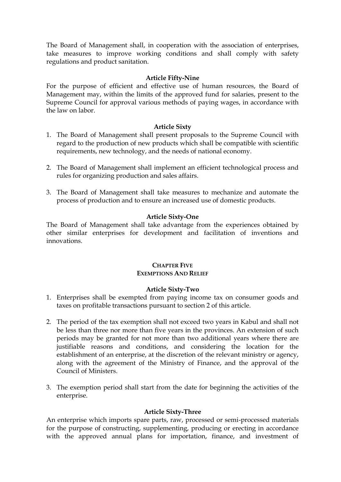The Board of Management shall, in cooperation with the association of enterprises, take measures to improve working conditions and shall comply with safety regulations and product sanitation.

#### **Article Fifty-Nine**

For the purpose of efficient and effective use of human resources, the Board of Management may, within the limits of the approved fund for salaries, present to the Supreme Council for approval various methods of paying wages, in accordance with the law on labor.

#### **Article Sixty**

- 1. The Board of Management shall present proposals to the Supreme Council with regard to the production of new products which shall be compatible with scientific requirements, new technology, and the needs of national economy.
- 2. The Board of Management shall implement an efficient technological process and rules for organizing production and sales affairs.
- 3. The Board of Management shall take measures to mechanize and automate the process of production and to ensure an increased use of domestic products.

#### **Article Sixty-One**

The Board of Management shall take advantage from the experiences obtained by other similar enterprises for development and facilitation of inventions and innovations.

#### **CHAPTER FIVE EXEMPTIONS AND RELIEF**

#### **Article Sixty-Two**

- 1. Enterprises shall be exempted from paying income tax on consumer goods and taxes on profitable transactions pursuant to section 2 of this article.
- 2. The period of the tax exemption shall not exceed two years in Kabul and shall not be less than three nor more than five years in the provinces. An extension of such periods may be granted for not more than two additional years where there are justifiable reasons and conditions, and considering the location for the establishment of an enterprise, at the discretion of the relevant ministry or agency, along with the agreement of the Ministry of Finance, and the approval of the Council of Ministers.
- 3. The exemption period shall start from the date for beginning the activities of the enterprise.

#### **Article Sixty-Three**

An enterprise which imports spare parts, raw, processed or semi-processed materials for the purpose of constructing, supplementing, producing or erecting in accordance with the approved annual plans for importation, finance, and investment of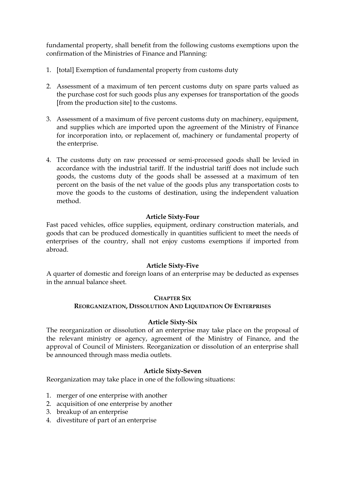fundamental property, shall benefit from the following customs exemptions upon the confirmation of the Ministries of Finance and Planning:

- 1. [total] Exemption of fundamental property from customs duty
- 2. Assessment of a maximum of ten percent customs duty on spare parts valued as the purchase cost for such goods plus any expenses for transportation of the goods [from the production site] to the customs.
- 3. Assessment of a maximum of five percent customs duty on machinery, equipment, and supplies which are imported upon the agreement of the Ministry of Finance for incorporation into, or replacement of, machinery or fundamental property of the enterprise.
- 4. The customs duty on raw processed or semi-processed goods shall be levied in accordance with the industrial tariff. If the industrial tariff does not include such goods, the customs duty of the goods shall be assessed at a maximum of ten percent on the basis of the net value of the goods plus any transportation costs to move the goods to the customs of destination, using the independent valuation method.

## **Article Sixty-Four**

Fast paced vehicles, office supplies, equipment, ordinary construction materials, and goods that can be produced domestically in quantities sufficient to meet the needs of enterprises of the country, shall not enjoy customs exemptions if imported from abroad.

## **Article Sixty-Five**

A quarter of domestic and foreign loans of an enterprise may be deducted as expenses in the annual balance sheet.

## **CHAPTER SIX**

## **REORGANIZATION, DISSOLUTION AND LIQUIDATION OF ENTERPRISES**

## **Article Sixty-Six**

The reorganization or dissolution of an enterprise may take place on the proposal of the relevant ministry or agency, agreement of the Ministry of Finance, and the approval of Council of Ministers. Reorganization or dissolution of an enterprise shall be announced through mass media outlets.

## **Article Sixty-Seven**

Reorganization may take place in one of the following situations:

- 1. merger of one enterprise with another
- 2. acquisition of one enterprise by another
- 3. breakup of an enterprise
- 4. divestiture of part of an enterprise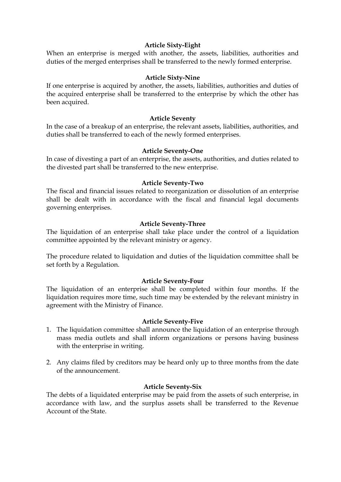## **Article Sixty-Eight**

When an enterprise is merged with another, the assets, liabilities, authorities and duties of the merged enterprises shall be transferred to the newly formed enterprise.

## **Article Sixty-Nine**

If one enterprise is acquired by another, the assets, liabilities, authorities and duties of the acquired enterprise shall be transferred to the enterprise by which the other has been acquired.

## **Article Seventy**

In the case of a breakup of an enterprise, the relevant assets, liabilities, authorities, and duties shall be transferred to each of the newly formed enterprises.

## **Article Seventy-One**

In case of divesting a part of an enterprise, the assets, authorities, and duties related to the divested part shall be transferred to the new enterprise.

## **Article Seventy-Two**

The fiscal and financial issues related to reorganization or dissolution of an enterprise shall be dealt with in accordance with the fiscal and financial legal documents governing enterprises.

## **Article Seventy-Three**

The liquidation of an enterprise shall take place under the control of a liquidation committee appointed by the relevant ministry or agency.

The procedure related to liquidation and duties of the liquidation committee shall be set forth by a Regulation.

#### **Article Seventy-Four**

The liquidation of an enterprise shall be completed within four months. If the liquidation requires more time, such time may be extended by the relevant ministry in agreement with the Ministry of Finance.

#### **Article Seventy-Five**

- 1. The liquidation committee shall announce the liquidation of an enterprise through mass media outlets and shall inform organizations or persons having business with the enterprise in writing.
- 2. Any claims filed by creditors may be heard only up to three months from the date of the announcement.

#### **Article Seventy-Six**

The debts of a liquidated enterprise may be paid from the assets of such enterprise, in accordance with law, and the surplus assets shall be transferred to the Revenue Account of the State.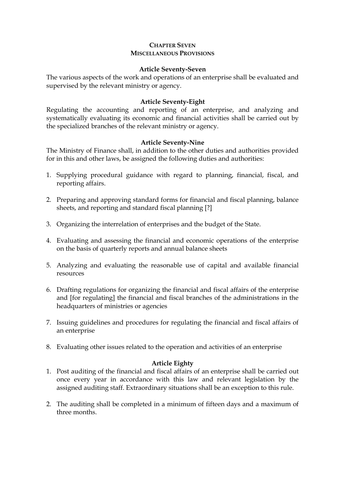## **CHAPTER SEVEN MISCELLANEOUS PROVISIONS**

#### **Article Seventy-Seven**

The various aspects of the work and operations of an enterprise shall be evaluated and supervised by the relevant ministry or agency.

## **Article Seventy-Eight**

Regulating the accounting and reporting of an enterprise, and analyzing and systematically evaluating its economic and financial activities shall be carried out by the specialized branches of the relevant ministry or agency.

## **Article Seventy-Nine**

The Ministry of Finance shall, in addition to the other duties and authorities provided for in this and other laws, be assigned the following duties and authorities:

- 1. Supplying procedural guidance with regard to planning, financial, fiscal, and reporting affairs.
- 2. Preparing and approving standard forms for financial and fiscal planning, balance sheets, and reporting and standard fiscal planning [?]
- 3. Organizing the interrelation of enterprises and the budget of the State.
- 4. Evaluating and assessing the financial and economic operations of the enterprise on the basis of quarterly reports and annual balance sheets
- 5. Analyzing and evaluating the reasonable use of capital and available financial resources
- 6. Drafting regulations for organizing the financial and fiscal affairs of the enterprise and [for regulating] the financial and fiscal branches of the administrations in the headquarters of ministries or agencies
- 7. Issuing guidelines and procedures for regulating the financial and fiscal affairs of an enterprise
- 8. Evaluating other issues related to the operation and activities of an enterprise

## **Article Eighty**

- 1. Post auditing of the financial and fiscal affairs of an enterprise shall be carried out once every year in accordance with this law and relevant legislation by the assigned auditing staff. Extraordinary situations shall be an exception to this rule.
- 2. The auditing shall be completed in a minimum of fifteen days and a maximum of three months.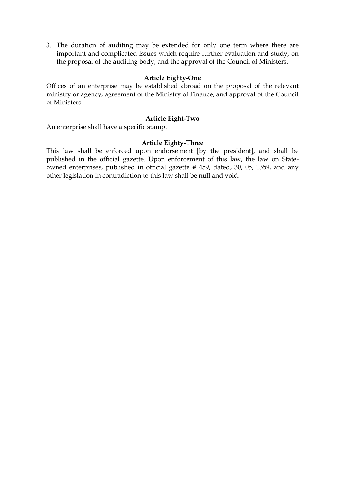3. The duration of auditing may be extended for only one term where there are important and complicated issues which require further evaluation and study, on the proposal of the auditing body, and the approval of the Council of Ministers.

#### **Article Eighty-One**

Offices of an enterprise may be established abroad on the proposal of the relevant ministry or agency, agreement of the Ministry of Finance, and approval of the Council of Ministers.

#### **Article Eight-Two**

An enterprise shall have a specific stamp.

#### **Article Eighty-Three**

This law shall be enforced upon endorsement [by the president], and shall be published in the official gazette. Upon enforcement of this law, the law on Stateowned enterprises, published in official gazette # 459, dated, 30, 05, 1359, and any other legislation in contradiction to this law shall be null and void.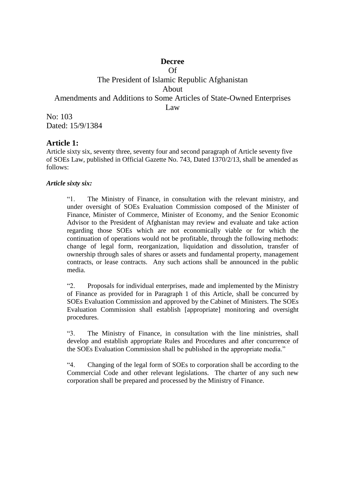## **Decree**  Of

# The President of Islamic Republic Afghanistan About Amendments and Additions to Some Articles of State-Owned Enterprises Law No: 103

Dated: 15/9/1384

# **Article 1:**

Article sixty six, seventy three, seventy four and second paragraph of Article seventy five of SOEs Law, published in Official Gazette No. 743, Dated 1370/2/13, shall be amended as follows:

## *Article sixty six:*

"1. The Ministry of Finance, in consultation with the relevant ministry, and under oversight of SOEs Evaluation Commission composed of the Minister of Finance, Minister of Commerce, Minister of Economy, and the Senior Economic Advisor to the President of Afghanistan may review and evaluate and take action regarding those SOEs which are not economically viable or for which the continuation of operations would not be profitable, through the following methods: change of legal form, reorganization, liquidation and dissolution, transfer of ownership through sales of shares or assets and fundamental property, management contracts, or lease contracts. Any such actions shall be announced in the public media.

"2. Proposals for individual enterprises, made and implemented by the Ministry of Finance as provided for in Paragraph 1 of this Article, shall be concurred by SOEs Evaluation Commission and approved by the Cabinet of Ministers. The SOEs Evaluation Commission shall establish [appropriate] monitoring and oversight procedures.

"3. The Ministry of Finance, in consultation with the line ministries, shall develop and establish appropriate Rules and Procedures and after concurrence of the SOEs Evaluation Commission shall be published in the appropriate media."

"4. Changing of the legal form of SOEs to corporation shall be according to the Commercial Code and other relevant legislations. The charter of any such new corporation shall be prepared and processed by the Ministry of Finance.